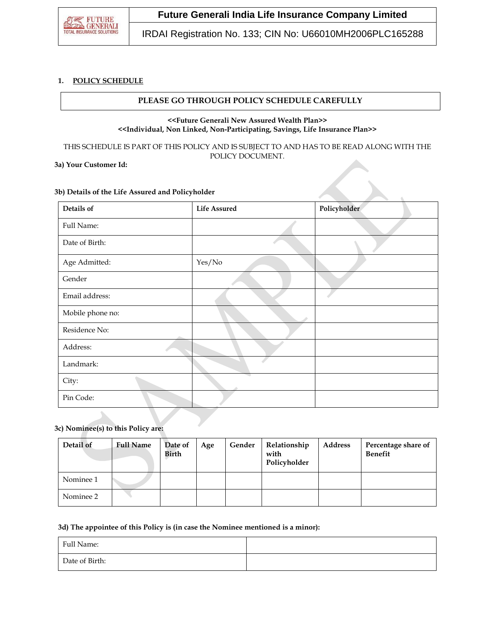

# **Future Generali India Life Insurance Company Limited**

IRDAI Registration No. 133; CIN No: U66010MH2006PLC165288

### **1. POLICY SCHEDULE**

# **PLEASE GO THROUGH POLICY SCHEDULE CAREFULLY**

#### **<<Future Generali New Assured Wealth Plan>> <<Individual, Non Linked, Non-Participating, Savings, Life Insurance Plan>>**

THIS SCHEDULE IS PART OF THIS POLICY AND IS SUBJECT TO AND HAS TO BE READ ALONG WITH THE POLICY DOCUMENT.

# **3a) Your Customer Id:**

## **3b) Details of the Life Assured and Policyholder**

| Details of       | <b>Life Assured</b> | Policyholder |
|------------------|---------------------|--------------|
| Full Name:       |                     |              |
| Date of Birth:   |                     |              |
| Age Admitted:    | Yes/No              |              |
| Gender           |                     |              |
| Email address:   |                     |              |
| Mobile phone no: |                     |              |
| Residence No:    |                     |              |
| Address:         |                     |              |
| Landmark:        |                     |              |
| City:            |                     |              |
| Pin Code:        |                     |              |

#### **3c) Nominee(s) to this Policy are:**

| Detail of | <b>Full Name</b> | Date of<br>Birth | Age | Gender | Relationship<br>with<br>Policyholder | Address | Percentage share of<br><b>Benefit</b> |
|-----------|------------------|------------------|-----|--------|--------------------------------------|---------|---------------------------------------|
| Nominee 1 |                  |                  |     |        |                                      |         |                                       |
| Nominee 2 |                  |                  |     |        |                                      |         |                                       |

#### **3d) The appointee of this Policy is (in case the Nominee mentioned is a minor):**

| Full Name:     |  |
|----------------|--|
| Date of Birth: |  |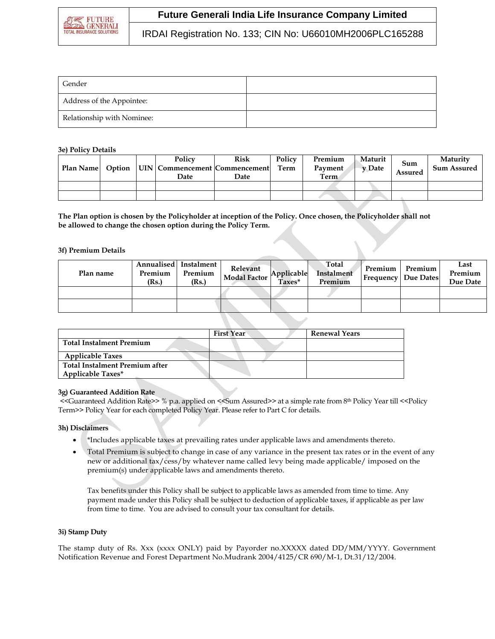

# **Future Generali India Life Insurance Company Limited**

IRDAI Registration No. 133; CIN No: U66010MH2006PLC165288

| Gender                     |  |
|----------------------------|--|
| Address of the Appointee:  |  |
| Relationship with Nominee: |  |

### **3e) Policy Details**

| Plan Name | Option | Policy<br>  UIN   Commencement   Commencement  <br>Date | <b>Risk</b><br><b>Date</b> | Policy<br>Term | Premium<br>Payment<br>Term | Maturit<br>v Date | Sum<br>Assured | Maturity<br><b>Sum Assured</b> |
|-----------|--------|---------------------------------------------------------|----------------------------|----------------|----------------------------|-------------------|----------------|--------------------------------|
|           |        |                                                         |                            |                |                            |                   |                |                                |
|           |        |                                                         |                            |                |                            |                   |                |                                |

**The Plan option is chosen by the Policyholder at inception of the Policy. Once chosen, the Policyholder shall not be allowed to change the chosen option during the Policy Term.**

#### **3f) Premium Details**

| Plan name | Premium<br>(Rs.) | Annualised Instalment<br>Premium<br>(Rs.) | Relevant<br>Modal Factor | Applicable<br>Taxes* | Total<br>Instalment<br>Premium | Premium | <b>Premium</b><br>  Frequency   Due Dates | Last<br>Premium<br>Due Date |
|-----------|------------------|-------------------------------------------|--------------------------|----------------------|--------------------------------|---------|-------------------------------------------|-----------------------------|
|           |                  |                                           |                          |                      |                                |         |                                           |                             |
|           |                  |                                           |                          |                      |                                |         |                                           |                             |

|                                 | <b>First Year</b> | <b>Renewal Years</b> |
|---------------------------------|-------------------|----------------------|
| <b>Total Instalment Premium</b> |                   |                      |
| <b>Applicable Taxes</b>         |                   |                      |
| Total Instalment Premium after  |                   |                      |
| <b>Applicable Taxes*</b>        |                   |                      |

#### **3g) Guaranteed Addition Rate**

<<Guaranteed Addition Rate>> % p.a. applied on <<Sum Assured>> at a simple rate from 8th Policy Year till <<Policy Term>> Policy Year for each completed Policy Year. Please refer to Part C for details.

#### **3h) Disclaimers**

- \*Includes applicable taxes at prevailing rates under applicable laws and amendments thereto.
- Total Premium is subject to change in case of any variance in the present tax rates or in the event of any new or additional tax/cess/by whatever name called levy being made applicable/ imposed on the premium(s) under applicable laws and amendments thereto.

Tax benefits under this Policy shall be subject to applicable laws as amended from time to time. Any payment made under this Policy shall be subject to deduction of applicable taxes, if applicable as per law from time to time. You are advised to consult your tax consultant for details.

#### **3i) Stamp Duty**

The stamp duty of Rs. Xxx (xxxx ONLY) paid by Payorder no.XXXXX dated DD/MM/YYYY. Government Notification Revenue and Forest Department No.Mudrank 2004/4125/CR 690/M-1, Dt.31/12/2004.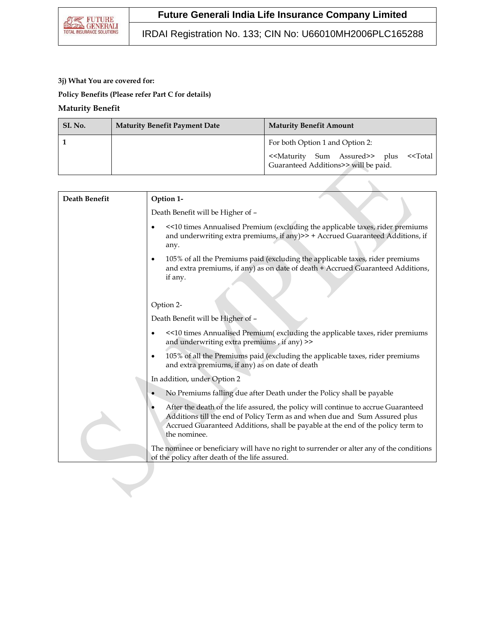IRDAI Registration No. 133; CIN No: U66010MH2006PLC165288

# **3j) What You are covered for:**

**Policy Benefits (Please refer Part C for details)**

# **Maturity Benefit**

| SI. No. | <b>Maturity Benefit Payment Date</b> | <b>Maturity Benefit Amount</b>                                                                                         |
|---------|--------------------------------------|------------------------------------------------------------------------------------------------------------------------|
|         |                                      | For both Option 1 and Option 2:                                                                                        |
|         |                                      | < <maturity assured="" sum="">&gt; plus &lt;<total<br>Guaranteed Additions&gt;&gt; will be paid.</total<br></maturity> |

| Death Benefit | Option 1-                                                                                                                                                                                                                                                           |
|---------------|---------------------------------------------------------------------------------------------------------------------------------------------------------------------------------------------------------------------------------------------------------------------|
|               | Death Benefit will be Higher of -                                                                                                                                                                                                                                   |
|               | <<10 times Annualised Premium (excluding the applicable taxes, rider premiums<br>and underwriting extra premiums, if any)>> + Accrued Guaranteed Additions, if<br>any.                                                                                              |
|               | 105% of all the Premiums paid (excluding the applicable taxes, rider premiums<br>and extra premiums, if any) as on date of death + Accrued Guaranteed Additions,<br>if any.                                                                                         |
|               | Option 2-                                                                                                                                                                                                                                                           |
|               | Death Benefit will be Higher of -                                                                                                                                                                                                                                   |
|               | <<10 times Annualised Premium(excluding the applicable taxes, rider premiums<br>and underwriting extra premiums, if any) >>                                                                                                                                         |
|               | 105% of all the Premiums paid (excluding the applicable taxes, rider premiums<br>٠<br>and extra premiums, if any) as on date of death                                                                                                                               |
|               | In addition, under Option 2                                                                                                                                                                                                                                         |
|               | No Premiums falling due after Death under the Policy shall be payable                                                                                                                                                                                               |
|               | After the death of the life assured, the policy will continue to accrue Guaranteed<br>Additions till the end of Policy Term as and when due and Sum Assured plus<br>Accrued Guaranteed Additions, shall be payable at the end of the policy term to<br>the nominee. |
|               | The nominee or beneficiary will have no right to surrender or alter any of the conditions<br>of the policy after death of the life assured.                                                                                                                         |